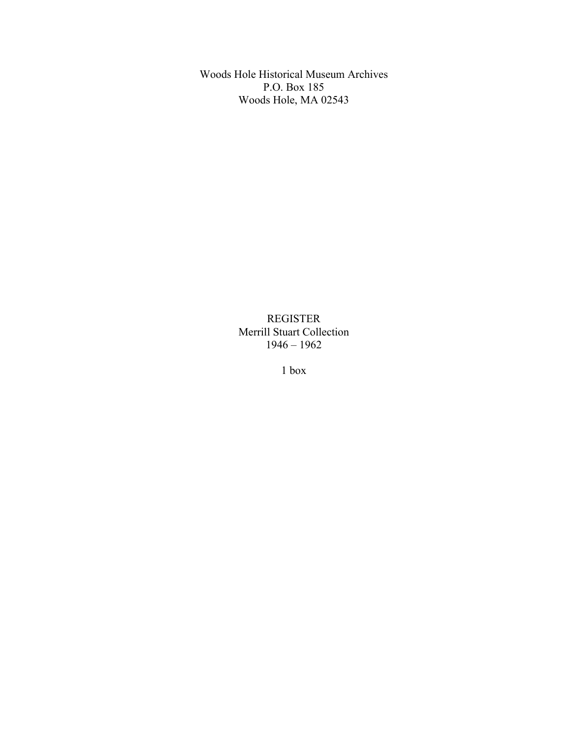Woods Hole Historical Museum Archives P.O. Box 185 Woods Hole, MA 02543

> REGISTER Merrill Stuart Collection 1946 – 1962

> > 1 box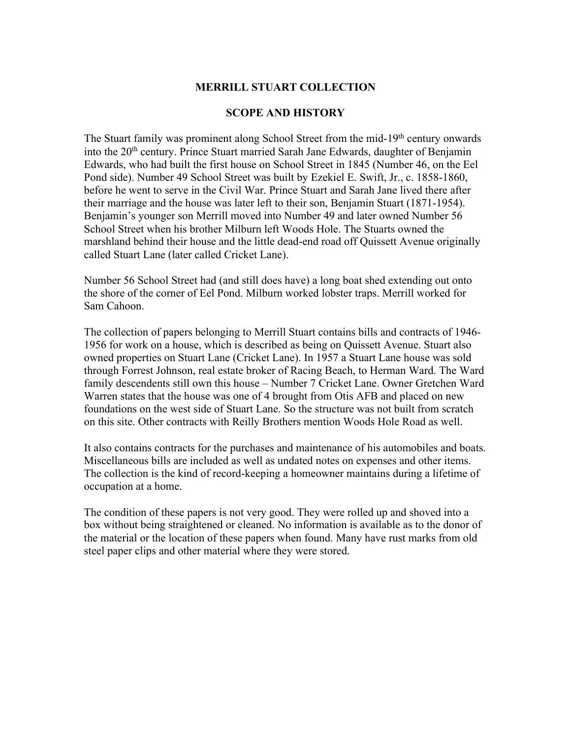## **MERRILL STUART COLLECTION**

## **SCOPE AND HISTORY**

The Stuart family was prominent along School Street from the mid-19<sup>th</sup> century onwards into the 20<sup>th</sup> century. Prince Stuart married Sarah Jane Edwards, daughter of Benjamin Edwards, who had built the first house on School Street in 1845 (Number 46, on the Eel Pond side). Number 49 School Street was built by Ezekiel E. Swift, Jr., c. 1858-1860, before he went to serve in the Civil War. Prince Stuart and Sarah Jane lived there after their marriage and the house was later left to their son, Benjamin Stuart (1871-1954). Benjamin's younger son Merrill moved into Number 49 and later owned Number 56 School Street when his brother Milburn left Woods Hole. The Stuarts owned the marshland behind their house and the little dead-end road off Quissett Avenue originally called Stuart Lane (later called Cricket Lane).

Number 56 School Street had (and still does have) a long boat shed extending out onto the shore of the corner of Eel Pond. Milburn worked lobster traps. Merrill worked for Sam Cahoon.

The collection of papers belonging to Merrill Stuart contains bills and contracts of 1946- 1956 for work on a house, which is described as being on Quissett Avenue. Stuart also owned properties on Stuart Lane (Cricket Lane). In 1957 a Stuart Lane house was sold through Forrest Johnson, real estate broker of Racing Beach, to Herman Ward. The Ward family descendents still own this house – Number 7 Cricket Lane. Owner Gretchen Ward Warren states that the house was one of 4 brought from Otis AFB and placed on new foundations on the west side of Stuart Lane. So the structure was not built from scratch on this site. Other contracts with Reilly Brothers mention Woods Hole Road as well.

It also contains contracts for the purchases and maintenance of his automobiles and boats. Miscellaneous bills are included as well as undated notes on expenses and other items. The collection is the kind of record-keeping a homeowner maintains during a lifetime of occupation at a home.

The condition of these papers is not very good. They were rolled up and shoved into a box without being straightened or cleaned. No information is available as to the donor of the material or the location of these papers when found. Many have rust marks from old steel paper clips and other material where they were stored.